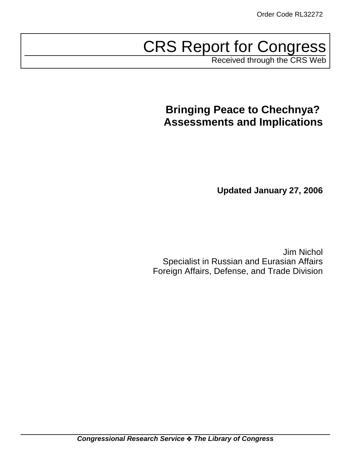# CRS Report for Congress

Received through the CRS Web

# **Bringing Peace to Chechnya? Assessments and Implications**

**Updated January 27, 2006**

Jim Nichol Specialist in Russian and Eurasian Affairs Foreign Affairs, Defense, and Trade Division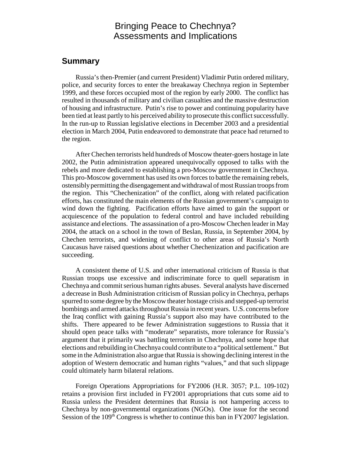# Bringing Peace to Chechnya? Assessments and Implications

#### **Summary**

Russia's then-Premier (and current President) Vladimir Putin ordered military, police, and security forces to enter the breakaway Chechnya region in September 1999, and these forces occupied most of the region by early 2000. The conflict has resulted in thousands of military and civilian casualties and the massive destruction of housing and infrastructure. Putin's rise to power and continuing popularity have been tied at least partly to his perceived ability to prosecute this conflict successfully. In the run-up to Russian legislative elections in December 2003 and a presidential election in March 2004, Putin endeavored to demonstrate that peace had returned to the region.

After Chechen terrorists held hundreds of Moscow theater-goers hostage in late 2002, the Putin administration appeared unequivocally opposed to talks with the rebels and more dedicated to establishing a pro-Moscow government in Chechnya. This pro-Moscow government has used its own forces to battle the remaining rebels, ostensibly permitting the disengagement and withdrawal of most Russian troops from the region. This "Chechenization" of the conflict, along with related pacification efforts, has constituted the main elements of the Russian government's campaign to wind down the fighting. Pacification efforts have aimed to gain the support or acquiescence of the population to federal control and have included rebuilding assistance and elections. The assassination of a pro-Moscow Chechen leader in May 2004, the attack on a school in the town of Beslan, Russia, in September 2004, by Chechen terrorists, and widening of conflict to other areas of Russia's North Caucasus have raised questions about whether Chechenization and pacification are succeeding.

A consistent theme of U.S. and other international criticism of Russia is that Russian troops use excessive and indiscriminate force to quell separatism in Chechnya and commit serious human rights abuses. Several analysts have discerned a decrease in Bush Administration criticism of Russian policy in Chechnya, perhaps spurred to some degree by the Moscow theater hostage crisis and stepped-up terrorist bombings and armed attacks throughout Russia in recent years. U.S. concerns before the Iraq conflict with gaining Russia's support also may have contributed to the shifts. There appeared to be fewer Administration suggestions to Russia that it should open peace talks with "moderate" separatists, more tolerance for Russia's argument that it primarily was battling terrorism in Chechnya, and some hope that elections and rebuilding in Chechnya could contribute to a "political settlement." But some in the Administration also argue that Russia is showing declining interest in the adoption of Western democratic and human rights "values," and that such slippage could ultimately harm bilateral relations.

Foreign Operations Appropriations for FY2006 (H.R. 3057; P.L. 109-102) retains a provision first included in FY2001 appropriations that cuts some aid to Russia unless the President determines that Russia is not hampering access to Chechnya by non-governmental organizations (NGOs). One issue for the second Session of the 109<sup>th</sup> Congress is whether to continue this ban in FY2007 legislation.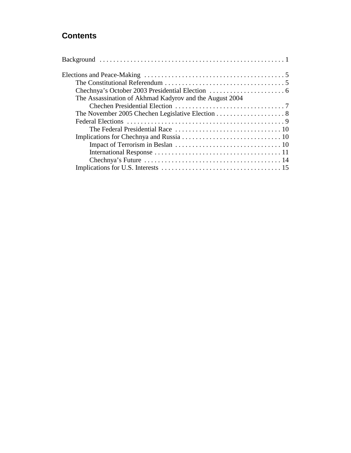# **Contents**

| The Assassination of Akhmad Kadyrov and the August 2004 |  |
|---------------------------------------------------------|--|
|                                                         |  |
|                                                         |  |
|                                                         |  |
|                                                         |  |
|                                                         |  |
|                                                         |  |
|                                                         |  |
|                                                         |  |
|                                                         |  |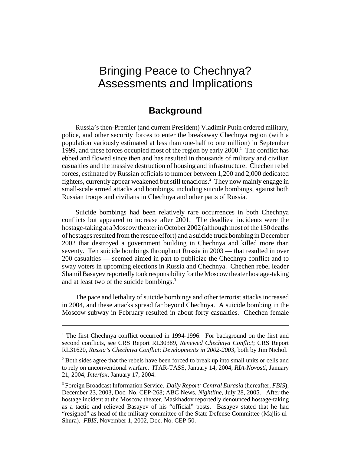# Bringing Peace to Chechnya? Assessments and Implications

# **Background**

Russia's then-Premier (and current President) Vladimir Putin ordered military, police, and other security forces to enter the breakaway Chechnya region (with a population variously estimated at less than one-half to one million) in September 1999, and these forces occupied most of the region by early  $2000$ .<sup>1</sup> The conflict has ebbed and flowed since then and has resulted in thousands of military and civilian casualties and the massive destruction of housing and infrastructure. Chechen rebel forces, estimated by Russian officials to number between 1,200 and 2,000 dedicated fighters, currently appear weakened but still tenacious.2 They now mainly engage in small-scale armed attacks and bombings, including suicide bombings, against both Russian troops and civilians in Chechnya and other parts of Russia.

Suicide bombings had been relatively rare occurrences in both Chechnya conflicts but appeared to increase after 2001. The deadliest incidents were the hostage-taking at a Moscow theater in October 2002 (although most of the 130 deaths of hostages resulted from the rescue effort) and a suicide truck bombing in December 2002 that destroyed a government building in Chechnya and killed more than seventy. Ten suicide bombings throughout Russia in 2003 — that resulted in over 200 casualties — seemed aimed in part to publicize the Chechnya conflict and to sway voters in upcoming elections in Russia and Chechnya. Chechen rebel leader Shamil Basayev reportedly took responsibility for the Moscow theater hostage-taking and at least two of the suicide bombings.<sup>3</sup>

The pace and lethality of suicide bombings and other terrorist attacks increased in 2004, and these attacks spread far beyond Chechnya. A suicide bombing in the Moscow subway in February resulted in about forty casualties. Chechen female

<sup>&</sup>lt;sup>1</sup> The first Chechnya conflict occurred in 1994-1996. For background on the first and second conflicts, see CRS Report RL30389, *Renewed Chechnya Conflict*; CRS Report RL31620, *Russia's Chechnya Conflict*: *Developments in 2002-2003*, both by Jim Nichol.

 $2^2$  Both sides agree that the rebels have been forced to break up into small units or cells and to rely on unconventional warfare. ITAR-TASS, January 14, 2004; *RIA-Novosti*, January 21, 2004; *Interfax*, January 17, 2004.

<sup>3</sup> Foreign Broadcast Information Service. *Daily Report: Central Eurasia* (hereafter, *FBIS*), December 23, 2003, Doc. No. CEP-268; ABC News, *Nightline*, July 28, 2005. After the hostage incident at the Moscow theater, Maskhadov reportedly denounced hostage-taking as a tactic and relieved Basayev of his "official" posts. Basayev stated that he had "resigned" as head of the military committee of the State Defense Committee (Majlis ul-Shura). *FBIS*, November 1, 2002, Doc. No. CEP-50.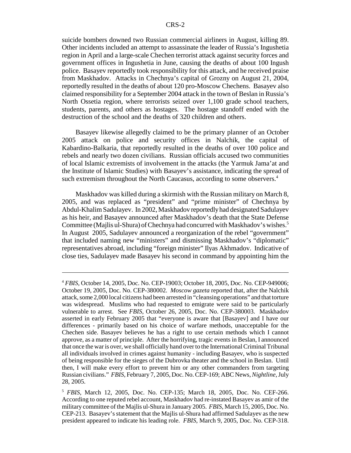suicide bombers downed two Russian commercial airliners in August, killing 89. Other incidents included an attempt to assassinate the leader of Russia's Ingushetia region in April and a large-scale Chechen terrorist attack against security forces and government offices in Ingushetia in June, causing the deaths of about 100 Ingush police. Basayev reportedly took responsibility for this attack, and he received praise from Maskhadov. Attacks in Chechnya's capital of Grozny on August 21, 2004, reportedly resulted in the deaths of about 120 pro-Moscow Chechens. Basayev also claimed responsibility for a September 2004 attack in the town of Beslan in Russia's North Ossetia region, where terrorists seized over 1,100 grade school teachers, students, parents, and others as hostages. The hostage standoff ended with the destruction of the school and the deaths of 320 children and others.

Basayev likewise allegedly claimed to be the primary planner of an October 2005 attack on police and security offices in Nalchik, the capital of Kabardino-Balkaria, that reportedly resulted in the deaths of over 100 police and rebels and nearly two dozen civilians. Russian officials accused two communities of local Islamic extremists of involvement in the attacks (the Yarmuk Jama'at and the Institute of Islamic Studies) with Basayev's assistance, indicating the spread of such extremism throughout the North Caucasus, according to some observers.<sup>4</sup>

Maskhadov was killed during a skirmish with the Russian military on March 8, 2005, and was replaced as "president" and "prime minister" of Chechnya by Abdul-Khalim Sadulayev. In 2002, Maskhadov reportedly had designated Sadulayev as his heir, and Basayev announced after Maskhadov's death that the State Defense Committee (Majlis ul-Shura) of Chechnya had concurred with Maskhadov's wishes.<sup>5</sup> In August 2005, Sadulayev announced a reorganization of the rebel "government" that included naming new "ministers" and dismissing Maskhadov's "diplomatic" representatives abroad, including "foreign minister" Ilyas Akhmadov. Indicative of close ties, Sadulayev made Basayev his second in command by appointing him the

<sup>4</sup> *FBIS*, October 14, 2005, Doc. No. CEP-19003; October 18, 2005, Doc. No. CEP-949006; October 19, 2005, Doc. No. CEP-380002. *Moscow gazeta* reported that, after the Nalchik attack, some 2,000 local citizens had been arrested in "cleansing operations" and that torture was widespread. Muslims who had requested to emigrate were said to be particularly vulnerable to arrest. See *FBIS*, October 26, 2005, Doc. No. CEP-380003. Maskhadov asserted in early February 2005 that "everyone is aware that [Basayev] and I have our differences - primarily based on his choice of warfare methods, unacceptable for the Chechen side. Basayev believes he has a right to use certain methods which I cannot approve, as a matter of principle. After the horrifying, tragic events in Beslan, I announced that once the war is over, we shall officially hand over to the International Criminal Tribunal all individuals involved in crimes against humanity - including Basayev, who is suspected of being responsible for the sieges of the Dubrovka theater and the school in Beslan. Until then, I will make every effort to prevent him or any other commanders from targeting Russian civilians." *FBIS*, February 7, 2005, Doc. No. CEP-169; ABC News, *Nightline*, July 28, 2005.

<sup>5</sup> *FBIS*, March 12, 2005, Doc. No. CEP-135; March 18, 2005, Doc. No. CEF-266. According to one reputed rebel account, Maskhadov had re-instated Basayev as amir of the military committee of the Majlis ul-Shura in January 2005. *FBIS*, March 15, 2005, Doc. No. CEP-213. Basayev's statement that the Majlis ul-Shura had affirmed Sadulayev as the new president appeared to indicate his leading role. *FBIS*, March 9, 2005, Doc. No. CEP-318.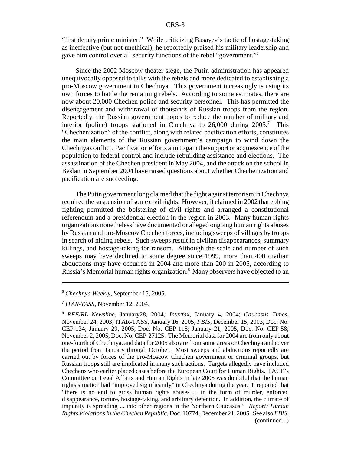"first deputy prime minister." While criticizing Basayev's tactic of hostage-taking as ineffective (but not unethical), he reportedly praised his military leadership and gave him control over all security functions of the rebel "government."6

Since the 2002 Moscow theater siege, the Putin administration has appeared unequivocally opposed to talks with the rebels and more dedicated to establishing a pro-Moscow government in Chechnya. This government increasingly is using its own forces to battle the remaining rebels. According to some estimates, there are now about 20,000 Chechen police and security personnel. This has permitted the disengagement and withdrawal of thousands of Russian troops from the region. Reportedly, the Russian government hopes to reduce the number of military and interior (police) troops stationed in Chechnya to  $26,000$  during  $2005$ .<sup>7</sup> This "Chechenization" of the conflict, along with related pacification efforts, constitutes the main elements of the Russian government's campaign to wind down the Chechnya conflict. Pacification efforts aim to gain the support or acquiescence of the population to federal control and include rebuilding assistance and elections. The assassination of the Chechen president in May 2004, and the attack on the school in Beslan in September 2004 have raised questions about whether Chechenization and pacification are succeeding.

The Putin government long claimed that the fight against terrorism in Chechnya required the suspension of some civil rights. However, it claimed in 2002 that ebbing fighting permitted the bolstering of civil rights and arranged a constitutional referendum and a presidential election in the region in 2003. Many human rights organizations nonetheless have documented or alleged ongoing human rights abuses by Russian and pro-Moscow Chechen forces, including sweeps of villages by troops in search of hiding rebels. Such sweeps result in civilian disappearances, summary killings, and hostage-taking for ransom. Although the scale and number of such sweeps may have declined to some degree since 1999, more than 400 civilian abductions may have occurred in 2004 and more than 200 in 2005, according to Russia's Memorial human rights organization.<sup>8</sup> Many observers have objected to an

<sup>6</sup> *Chechnya Weekly*, September 15, 2005.

<sup>7</sup> *ITAR-TASS*, November 12, 2004.

<sup>8</sup> *RFE/RL Newsline*, January28, 2004*; Interfax*, January 4, 2004; *Caucasus Times*, November 24, 2003; ITAR-TASS, January 16, 2005; *FBIS*, December 15, 2003, Doc. No. CEP-134; January 29, 2005, Doc. No. CEP-118; January 21, 2005, Doc. No. CEP-58; November 2, 2005, Doc. No. CEP-27125. The Memorial data for 2004 are from only about one-fourth of Chechnya, and data for 2005 also are from some areas or Chechnya and cover the period from January through October. Most sweeps and abductions reportedly are carried out by forces of the pro-Moscow Chechen government or criminal groups, but Russian troops still are implicated in many such actions. Targets allegedly have included Chechens who earlier placed cases before the European Court for Human Rights. PACE's Committee on Legal Affairs and Human Rights in late 2005 was doubtful that the human rights situation had "improved significantly" in Chechnya during the year. It reported that "there is no end to gross human rights abuses ... in the form of murder, enforced disappearance, torture, hostage-taking, and arbitrary detention. In addition, the climate of impunity is spreading ... into other regions in the Northern Caucasus." *Report: Human Rights Violations in the Chechen Republic*, Doc. 10774, December 21, 2005. See also *FBIS*, (continued...)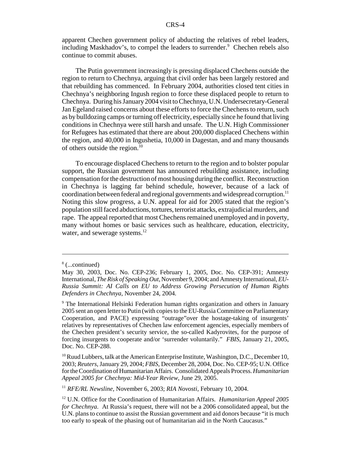apparent Chechen government policy of abducting the relatives of rebel leaders, including Maskhadov's, to compel the leaders to surrender.<sup>9</sup> Chechen rebels also continue to commit abuses.

The Putin government increasingly is pressing displaced Chechens outside the region to return to Chechnya, arguing that civil order has been largely restored and that rebuilding has commenced. In February 2004, authorities closed tent cities in Chechnya's neighboring Ingush region to force these displaced people to return to Chechnya. During his January 2004 visit to Chechnya, U.N. Undersecretary-General Jan Egeland raised concerns about these efforts to force the Chechens to return, such as by bulldozing camps or turning off electricity, especially since he found that living conditions in Chechnya were still harsh and unsafe. The U.N. High Commissioner for Refugees has estimated that there are about 200,000 displaced Chechens within the region, and 40,000 in Ingushetia, 10,000 in Dagestan, and and many thousands of others outside the region.<sup>10</sup>

To encourage displaced Chechens to return to the region and to bolster popular support, the Russian government has announced rebuilding assistance, including compensation for the destruction of most housing during the conflict. Reconstruction in Chechnya is lagging far behind schedule, however, because of a lack of coordination between federal and regional governments and widespread corruption.11 Noting this slow progress, a U.N. appeal for aid for 2005 stated that the region's population still faced abductions, tortures, terrorist attacks, extrajudicial murders, and rape. The appeal reported that most Chechens remained unemployed and in poverty, many without homes or basic services such as healthcare, education, electricity, water, and sewerage systems.<sup>12</sup>

<sup>8</sup> (...continued)

May 30, 2003, Doc. No. CEP-236; February 1, 2005, Doc. No. CEP-391; Amnesty International, *The Risk of Speaking Out*, November 9, 2004; and Amnesty International, *EU-Russia Summit: AI Calls on EU to Address Growing Persecution of Human Rights Defenders in Chechnya*, November 24, 2004.

<sup>&</sup>lt;sup>9</sup> The International Helsinki Federation human rights organization and others in January 2005 sent an open letter to Putin (with copies to the EU-Russia Committee on Parliamentary Cooperation, and PACE) expressing "outrage"over the hostage-taking of insurgents' relatives by representatives of Chechen law enforcement agencies, especially members of the Chechen president's security service, the so-called Kadyrovites, for the purpose of forcing insurgents to cooperate and/or 'surrender voluntarily." *FBIS*, January 21, 2005, Doc. No. CEP-288.

 $10$  Ruud Lubbers, talk at the American Enterprise Institute, Washington, D.C., December 10, 2003; *Reuters*, January 29, 2004; *FBIS*, December 28, 2004, Doc. No. CEP-95; U.N. Office for the Coordination of Humanitarian Affairs. Consolidated Appeals Process. *Humanitarian Appeal 2005 for Chechnya: Mid-Year Review*, June 29, 2005.

<sup>11</sup> *RFE/RL Newsline*, November 6, 2003; *RIA Novosti*, February 10, 2004.

<sup>12</sup> U.N. Office for the Coordination of Humanitarian Affairs. *Humanitarian Appeal 2005 for Chechnya*. At Russia's request, there will not be a 2006 consolidated appeal, but the U.N. plans to continue to assist the Russian government and aid donors because "it is much too early to speak of the phasing out of humanitarian aid in the North Caucasus."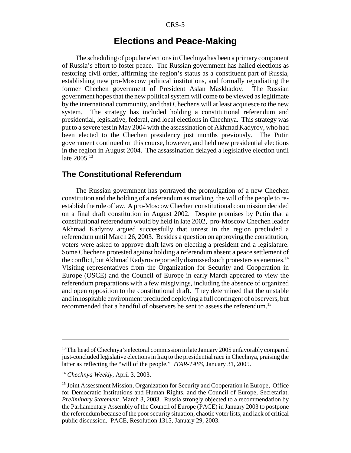# **Elections and Peace-Making**

The scheduling of popular elections in Chechnya has been a primary component of Russia's effort to foster peace. The Russian government has hailed elections as restoring civil order, affirming the region's status as a constituent part of Russia, establishing new pro-Moscow political institutions, and formally repudiating the former Chechen government of President Aslan Maskhadov. The Russian government hopes that the new political system will come to be viewed as legitimate by the international community, and that Chechens will at least acquiesce to the new system. The strategy has included holding a constitutional referendum and presidential, legislative, federal, and local elections in Chechnya. This strategy was put to a severe test in May 2004 with the assassination of Akhmad Kadyrov, who had been elected to the Chechen presidency just months previously. The Putin government continued on this course, however, and held new presidential elections in the region in August 2004. The assassination delayed a legislative election until late 2005.<sup>13</sup>

#### **The Constitutional Referendum**

The Russian government has portrayed the promulgation of a new Chechen constitution and the holding of a referendum as marking the will of the people to reestablish the rule of law. A pro-Moscow Chechen constitutional commission decided on a final draft constitution in August 2002. Despite promises by Putin that a constitutional referendum would by held in late 2002, pro-Moscow Chechen leader Akhmad Kadyrov argued successfully that unrest in the region precluded a referendum until March 26, 2003. Besides a question on approving the constitution, voters were asked to approve draft laws on electing a president and a legislature. Some Chechens protested against holding a referendum absent a peace settlement of the conflict, but Akhmad Kadyrov reportedly dismissed such protesters as enemies.<sup>14</sup> Visiting representatives from the Organization for Security and Cooperation in Europe (OSCE) and the Council of Europe in early March appeared to view the referendum preparations with a few misgivings, including the absence of organized and open opposition to the constitutional draft. They determined that the unstable and inhospitable environment precluded deploying a full contingent of observers, but recommended that a handful of observers be sent to assess the referendum.15

<sup>&</sup>lt;sup>13</sup> The head of Chechnya's electoral commission in late January 2005 unfavorably compared just-concluded legislative elections in Iraq to the presidential race in Chechnya, praising the latter as reflecting the "will of the people." *ITAR-TASS*, January 31, 2005.

<sup>14</sup> *Chechnya Weekly*, April 3, 2003.

<sup>&</sup>lt;sup>15</sup> Joint Assessment Mission, Organization for Security and Cooperation in Europe, Office for Democratic Institutions and Human Rights, and the Council of Europe, Secretariat, *Preliminary Statement*, March 3, 2003. Russia strongly objected to a recommendation by the Parliamentary Assembly of the Council of Europe (PACE) in January 2003 to postpone the referendum because of the poor security situation, chaotic voter lists, and lack of critical public discussion. PACE, Resolution 1315, January 29, 2003.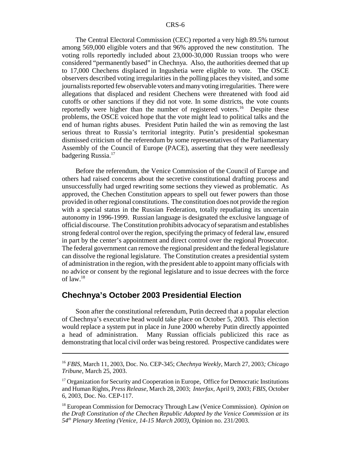The Central Electoral Commission (CEC) reported a very high 89.5% turnout among 569,000 eligible voters and that 96% approved the new constitution. The voting rolls reportedly included about 23,000-30,000 Russian troops who were considered "permanently based" in Chechnya. Also, the authorities deemed that up to 17,000 Chechens displaced in Ingushetia were eligible to vote. The OSCE observers described voting irregularities in the polling places they visited, and some journalists reported few observable voters and many voting irregularities. There were allegations that displaced and resident Chechens were threatened with food aid cutoffs or other sanctions if they did not vote. In some districts, the vote counts reportedly were higher than the number of registered voters.<sup>16</sup> Despite these problems, the OSCE voiced hope that the vote might lead to political talks and the end of human rights abuses. President Putin hailed the win as removing the last serious threat to Russia's territorial integrity. Putin's presidential spokesman dismissed criticism of the referendum by some representatives of the Parliamentary Assembly of the Council of Europe (PACE), asserting that they were needlessly badgering Russia.<sup>17</sup>

Before the referendum, the Venice Commission of the Council of Europe and others had raised concerns about the secretive constitutional drafting process and unsuccessfully had urged rewriting some sections they viewed as problematic. As approved, the Chechen Constitution appears to spell out fewer powers than those provided in other regional constitutions. The constitution does not provide the region with a special status in the Russian Federation, totally repudiating its uncertain autonomy in 1996-1999. Russian language is designated the exclusive language of official discourse. The Constitution prohibits advocacy of separatism and establishes strong federal control over the region, specifying the primacy of federal law, ensured in part by the center's appointment and direct control over the regional Prosecutor. The federal government can remove the regional president and the federal legislature can dissolve the regional legislature. The Constitution creates a presidential system of administration in the region, with the president able to appoint many officials with no advice or consent by the regional legislature and to issue decrees with the force of law.18

### **Chechnya's October 2003 Presidential Election**

Soon after the constitutional referendum, Putin decreed that a popular election of Chechnya's executive head would take place on October 5, 2003. This election would replace a system put in place in June 2000 whereby Putin directly appointed a head of administration. Many Russian officials publicized this race as demonstrating that local civil order was being restored. Prospective candidates were

<sup>16</sup> *FBIS*, March 11, 2003, Doc. No. CEP-345; *Chechnya Weekly,* March 27, 2003*; Chicago Tribune*, March 25, 2003.

 $17$  Organization for Security and Cooperation in Europe. Office for Democratic Institutions and Human Rights, *Press Release*, March 28, 2003; *Interfax*, April 9, 2003; *FBIS*, October 6, 2003, Doc. No. CEP-117.

<sup>18</sup> European Commission for Democracy Through Law (Venice Commission). *Opinion on the Draft Constitution of the Chechen Republic Adopted by the Venice Commission at its 54th Plenary Meeting (Venice, 14-15 March 2003)*, Opinion no. 231/2003.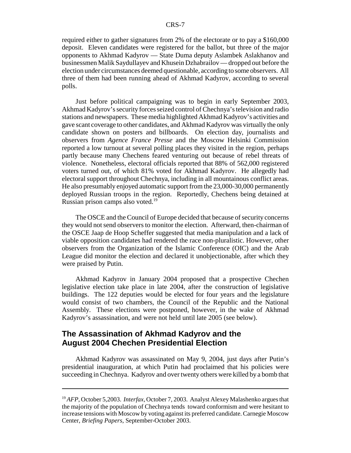required either to gather signatures from 2% of the electorate or to pay a \$160,000 deposit. Eleven candidates were registered for the ballot, but three of the major opponents to Akhmad Kadyrov — State Duma deputy Aslambek Aslakhanov and businessmen Malik Saydullayev and Khusein Dzhabrailov — dropped out before the election under circumstances deemed questionable, according to some observers. All three of them had been running ahead of Akhmad Kadyrov, according to several polls.

Just before political campaigning was to begin in early September 2003, Akhmad Kadyrov's security forces seized control of Chechnya's television and radio stations and newspapers. These media highlighted Akhmad Kadyrov's activities and gave scant coverage to other candidates, and Akhmad Kadyrov was virtually the only candidate shown on posters and billboards. On election day, journalists and observers from *Agence France Presse* and the Moscow Helsinki Commission reported a low turnout at several polling places they visited in the region, perhaps partly because many Chechens feared venturing out because of rebel threats of violence. Nonetheless, electoral officials reported that 88% of 562,000 registered voters turned out, of which 81% voted for Akhmad Kadyrov. He allegedly had electoral support throughout Chechnya, including in all mountainous conflict areas. He also presumably enjoyed automatic support from the 23,000-30,000 permanently deployed Russian troops in the region. Reportedly, Chechens being detained at Russian prison camps also voted.19

The OSCE and the Council of Europe decided that because of security concerns they would not send observers to monitor the election. Afterward, then-chairman of the OSCE Jaap de Hoop Scheffer suggested that media manipulation and a lack of viable opposition candidates had rendered the race non-pluralistic. However, other observers from the Organization of the Islamic Conference (OIC) and the Arab League did monitor the election and declared it unobjectionable, after which they were praised by Putin.

Akhmad Kadyrov in January 2004 proposed that a prospective Chechen legislative election take place in late 2004, after the construction of legislative buildings. The 122 deputies would be elected for four years and the legislature would consist of two chambers, the Council of the Republic and the National Assembly. These elections were postponed, however, in the wake of Akhmad Kadyrov's assassination, and were not held until late 2005 (see below).

## **The Assassination of Akhmad Kadyrov and the August 2004 Chechen Presidential Election**

Akhmad Kadyrov was assassinated on May 9, 2004, just days after Putin's presidential inauguration, at which Putin had proclaimed that his policies were succeeding in Chechnya. Kadyrov and over twenty others were killed by a bomb that

<sup>19</sup> *AFP*, October 5,2003. *Interfax*, October 7, 2003. Analyst Alexey Malashenko argues that the majority of the population of Chechnya tends toward conformism and were hesitant to increase tensions with Moscow by voting against its preferred candidate. Carnegie Moscow Center, *Briefing Papers*, September-October 2003.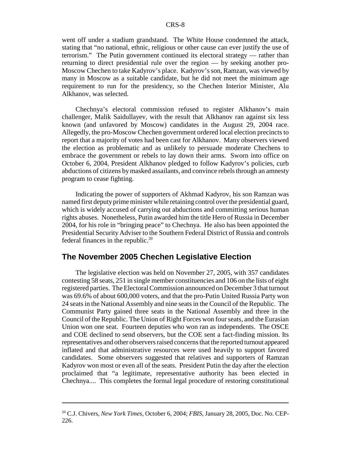went off under a stadium grandstand. The White House condemned the attack, stating that "no national, ethnic, religious or other cause can ever justify the use of terrorism." The Putin government continued its electoral strategy — rather than returning to direct presidential rule over the region — by seeking another pro-Moscow Chechen to take Kadyrov's place. Kadyrov's son, Ramzan, was viewed by many in Moscow as a suitable candidate, but he did not meet the minimum age requirement to run for the presidency, so the Chechen Interior Minister, Alu Alkhanov, was selected.

Chechnya's electoral commission refused to register Alkhanov's main challenger, Malik Saidullayev, with the result that Alkhanov ran against six less known (and unfavored by Moscow) candidates in the August 29, 2004 race. Allegedly, the pro-Moscow Chechen government ordered local election precincts to report that a majority of votes had been cast for Alkhanov. Many observers viewed the election as problematic and as unlikely to persuade moderate Chechens to embrace the government or rebels to lay down their arms. Sworn into office on October 6, 2004, President Alkhanov pledged to follow Kadyrov's policies, curb abductions of citizens by masked assailants, and convince rebels through an amnesty program to cease fighting.

Indicating the power of supporters of Akhmad Kadyrov, his son Ramzan was named first deputy prime minister while retaining control over the presidential guard, which is widely accused of carrying out abductions and committing serious human rights abuses. Nonetheless, Putin awarded him the title Hero of Russia in December 2004, for his role in "bringing peace" to Chechnya. He also has been appointed the Presidential Security Adviser to the Southern Federal District of Russia and controls federal finances in the republic.<sup>20</sup>

#### **The November 2005 Chechen Legislative Election**

The legislative election was held on November 27, 2005, with 357 candidates contesting 58 seats, 251 in single member constituencies and 106 on the lists of eight registered parties. The Electoral Commission announced on December 3 that turnout was 69.6% of about 600,000 voters, and that the pro-Putin United Russia Party won 24 seats in the National Assembly and nine seats in the Council of the Republic. The Communist Party gained three seats in the National Assembly and three in the Council of the Republic. The Union of Right Forces won four seats, and the Eurasian Union won one seat. Fourteen deputies who won ran as independents. The OSCE and COE declined to send observers, but the COE sent a fact-finding mission. Its representatives and other observers raised concerns that the reported turnout appeared inflated and that administrative resources were used heavily to support favored candidates. Some observers suggested that relatives and supporters of Ramzan Kadyrov won most or even all of the seats. President Putin the day after the election proclaimed that "a legitimate, representative authority has been elected in Chechnya.... This completes the formal legal procedure of restoring constitutional

<sup>20</sup> C.J. Chivers, *New York Times*, October 6, 2004; *FBIS*, January 28, 2005, Doc. No. CEP-226.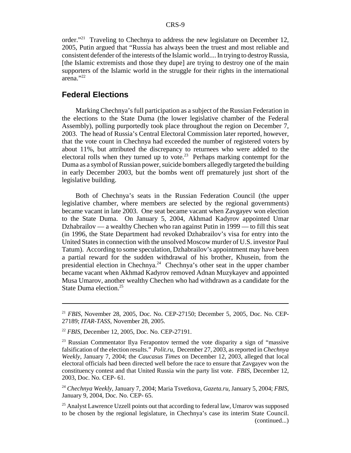order."<sup>21</sup> Traveling to Chechnya to address the new legislature on December 12, 2005, Putin argued that "Russia has always been the truest and most reliable and consistent defender of the interests of the Islamic world.... In trying to destroy Russia, [the Islamic extremists and those they dupe] are trying to destroy one of the main supporters of the Islamic world in the struggle for their rights in the international arena."22

### **Federal Elections**

Marking Chechnya's full participation as a subject of the Russian Federation in the elections to the State Duma (the lower legislative chamber of the Federal Assembly), polling purportedly took place throughout the region on December 7, 2003. The head of Russia's Central Electoral Commission later reported, however, that the vote count in Chechnya had exceeded the number of registered voters by about 11%, but attributed the discrepancy to returnees who were added to the electoral rolls when they turned up to vote.<sup>23</sup> Perhaps marking contempt for the Duma as a symbol of Russian power, suicide bombers allegedly targeted the building in early December 2003, but the bombs went off prematurely just short of the legislative building.

Both of Chechnya's seats in the Russian Federation Council (the upper legislative chamber, where members are selected by the regional governments) became vacant in late 2003. One seat became vacant when Zavgayev won election to the State Duma. On January 5, 2004, Akhmad Kadyrov appointed Umar Dzhabrailov — a wealthy Chechen who ran against Putin in 1999 — to fill this seat (in 1996, the State Department had revoked Dzhabrailov's visa for entry into the United States in connection with the unsolved Moscow murder of U.S. investor Paul Tatum). According to some speculation, Dzhabrailov's appointment may have been a partial reward for the sudden withdrawal of his brother, Khusein, from the presidential election in Chechnya.24 Chechnya's other seat in the upper chamber became vacant when Akhmad Kadyrov removed Adnan Muzykayev and appointed Musa Umarov, another wealthy Chechen who had withdrawn as a candidate for the State Duma election.<sup>25</sup>

<sup>21</sup> *FBIS*, November 28, 2005, Doc. No. CEP-27150; December 5, 2005, Doc. No. CEP-27189; *ITAR-TASS*, November 28, 2005.

<sup>22</sup> *FBIS*, December 12, 2005, Doc. No. CEP-27191.

 $23$  Russian Commentator Ilya Ferapontov termed the vote disparity a sign of "massive" falsification of the election results." *Polit.ru*, December 27, 2003, as reported in *Chechnya Weekly*, January 7, 2004; the *Caucasus Times* on December 12, 2003, alleged that local electoral officials had been directed well before the race to ensure that Zavgayev won the constituency contest and that United Russia win the party list vote. *FBIS*, December 12, 2003, Doc. No. CEP- 61.

<sup>24</sup> *Chechnya Weekly*, January 7, 2004; Maria Tsvetkova, *Gazeta.ru*, January 5, 2004; *FBIS*, January 9, 2004, Doc. No. CEP- 65.

 $25$  Analyst Lawrence Uzzell points out that according to federal law, Umarov was supposed to be chosen by the regional legislature, in Chechnya's case its interim State Council. (continued...)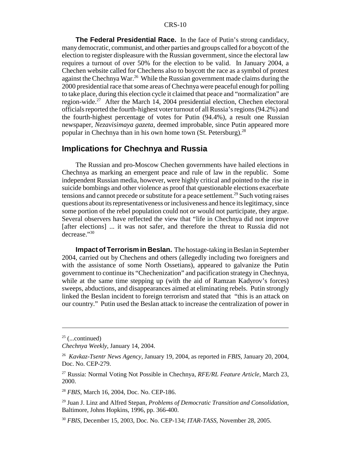**The Federal Presidential Race.** In the face of Putin's strong candidacy, many democratic, communist, and other parties and groups called for a boycott of the election to register displeasure with the Russian government, since the electoral law requires a turnout of over 50% for the election to be valid. In January 2004, a Chechen website called for Chechens also to boycott the race as a symbol of protest against the Chechnya War.<sup>26</sup> While the Russian government made claims during the 2000 presidential race that some areas of Chechnya were peaceful enough for polling to take place, during this election cycle it claimed that peace and "normalization" are region-wide.<sup>27</sup> After the March 14, 2004 presidential election, Chechen electoral officials reported the fourth-highest voter turnout of all Russia's regions (94.2%) and the fourth-highest percentage of votes for Putin (94.4%), a result one Russian newspaper, *Nezavisimaya gazeta*, deemed improbable, since Putin appeared more popular in Chechnya than in his own home town (St. Petersburg).28

#### **Implications for Chechnya and Russia**

The Russian and pro-Moscow Chechen governments have hailed elections in Chechnya as marking an emergent peace and rule of law in the republic. Some independent Russian media, however, were highly critical and pointed to the rise in suicide bombings and other violence as proof that questionable elections exacerbate tensions and cannot precede or substitute for a peace settlement.<sup>29</sup> Such voting raises questions about its representativeness or inclusiveness and hence its legitimacy, since some portion of the rebel population could not or would not participate, they argue. Several observers have reflected the view that "life in Chechnya did not improve [after elections] ... it was not safer, and therefore the threat to Russia did not decrease."30

**Impact of Terrorism in Beslan.** The hostage-taking in Beslan in September 2004, carried out by Chechens and others (allegedly including two foreigners and with the assistance of some North Ossetians), appeared to galvanize the Putin government to continue its "Chechenization" and pacification strategy in Chechnya, while at the same time stepping up (with the aid of Ramzan Kadyrov's forces) sweeps, abductions, and disappearances aimed at eliminating rebels. Putin strongly linked the Beslan incident to foreign terrorism and stated that "this is an attack on our country." Putin used the Beslan attack to increase the centralization of power in

 $25$  (...continued)

*Chechnya Weekly*, January 14, 2004.

<sup>26</sup> *Kavkaz-Tsentr News Agency*, January 19, 2004, as reported in *FBIS,* January 20, 2004, Doc. No. CEP-279.

<sup>27</sup> Russia: Normal Voting Not Possible in Chechnya, *RFE/RL Feature Article*, March 23, 2000.

<sup>28</sup> *FBIS*, March 16, 2004, Doc. No. CEP-186.

<sup>29</sup> Juan J. Linz and Alfred Stepan, *Problems of Democratic Transition and Consolidation*, Baltimore, Johns Hopkins, 1996, pp. 366-400.

<sup>30</sup> *FBIS*, December 15, 2003, Doc. No. CEP-134; *ITAR-TASS*, November 28, 2005.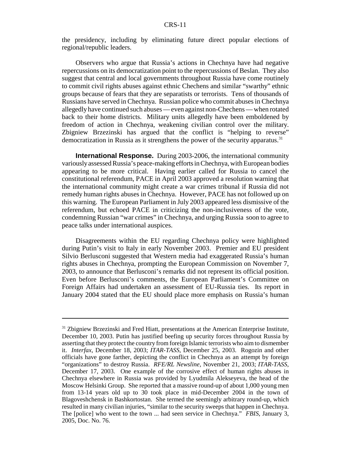the presidency, including by eliminating future direct popular elections of regional/republic leaders.

Observers who argue that Russia's actions in Chechnya have had negative repercussions on its democratization point to the repercussions of Beslan. They also suggest that central and local governments throughout Russia have come routinely to commit civil rights abuses against ethnic Chechens and similar "swarthy" ethnic groups because of fears that they are separatists or terrorists. Tens of thousands of Russians have served in Chechnya. Russian police who commit abuses in Chechnya allegedly have continued such abuses — even against non-Chechens — when rotated back to their home districts. Military units allegedly have been emboldened by freedom of action in Chechnya, weakening civilian control over the military. Zbigniew Brzezinski has argued that the conflict is "helping to reverse" democratization in Russia as it strengthens the power of the security apparatus.<sup>31</sup>

**International Response.** During 2003-2006, the international community variously assessed Russia's peace-making efforts in Chechnya, with European bodies appearing to be more critical. Having earlier called for Russia to cancel the constitutional referendum, PACE in April 2003 approved a resolution warning that the international community might create a war crimes tribunal if Russia did not remedy human rights abuses in Chechnya. However, PACE has not followed up on this warning. The European Parliament in July 2003 appeared less dismissive of the referendum, but echoed PACE in criticizing the non-inclusiveness of the vote, condemning Russian "war crimes" in Chechnya, and urging Russia soon to agree to peace talks under international auspices.

Disagreements within the EU regarding Chechnya policy were highlighted during Putin's visit to Italy in early November 2003. Premier and EU president Silvio Berlusconi suggested that Western media had exaggerated Russia's human rights abuses in Chechnya, prompting the European Commission on November 7, 2003, to announce that Berlusconi's remarks did not represent its official position. Even before Berlusconi's comments, the European Parliament's Committee on Foreign Affairs had undertaken an assessment of EU-Russia ties. Its report in January 2004 stated that the EU should place more emphasis on Russia's human

<sup>&</sup>lt;sup>31</sup> Zbigniew Brzezinski and Fred Hiatt, presentations at the American Enterprise Institute, December 10, 2003. Putin has justified beefing up security forces throughout Russia by asserting that they protect the country from foreign Islamic terrorists who aim to dismember it. *Interfax*, December 18, 2003; *ITAR-TASS*, December 25, 2003. Rogozin and other officials have gone farther, depicting the conflict in Chechnya as an attempt by foreign "organizations" to destroy Russia. *RFE/RL Newsline*, November 21, 2003; *ITAR-TASS*, December 17, 2003. One example of the corrosive effect of human rights abuses in Chechnya elsewhere in Russia was provided by Lyudmila Alekseyeva, the head of the Moscow Helsinki Group. She reported that a massive round-up of about 1,000 young men from 13-14 years old up to 30 took place in mid-December 2004 in the town of Blagoveshchensk in Bashkortostan. She termed the seemingly arbitrary round-up, which resulted in many civilian injuries, "similar to the security sweeps that happen in Chechnya. The [police] who went to the town ... had seen service in Chechnya." *FBIS*, January 3, 2005, Doc. No. 76.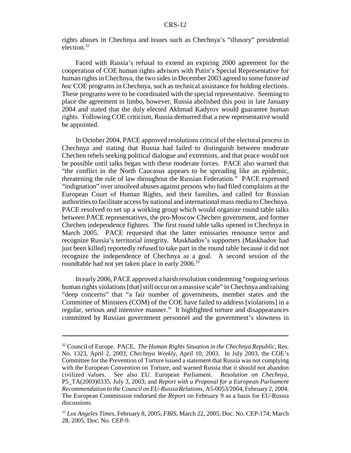rights abuses in Chechnya and issues such as Chechnya's "illusory" presidential election.32

Faced with Russia's refusal to extend an expiring 2000 agreement for the cooperation of COE human rights advisors with Putin's Special Representative for human rights in Chechnya, the two sides in December 2003 agreed to some future *ad hoc* COE programs in Chechnya, such as technical assistance for holding elections. These programs were to be coordinated with the special representative. Seeming to place the agreement in limbo, however, Russia abolished this post in late January 2004 and stated that the duly elected Akhmad Kadyrov would guarantee human rights. Following COE criticism, Russia demurred that a new representative would be appointed.

In October 2004, PACE approved resolutions critical of the electoral process in Chechnya and stating that Russia had failed to distinguish between moderate Chechen rebels seeking political dialogue and extremists, and that peace would not be possible until talks began with these moderate forces. PACE also warned that "the conflict in the North Caucasus appears to be spreading like an epidemic, threatening the rule of law throughout the Russian Federation." PACE expressed "indignation" over unsolved abuses against persons who had filed complaints at the European Court of Human Rights, and their families, and called for Russian authorities to facilitate access by national and international mass media to Chechnya. PACE resolved to set up a working group which would organize round table talks between PACE representatives, the pro-Moscow Chechen government, and former Chechen independence fighters. The first round table talks opened in Chechnya in March 2005. PACE requested that the latter emissaries renounce terror and recognize Russia's territorial integrity. Maskhadov's supporters (Maskhadov had just been killed) reportedly refused to take part in the round table because it did not recognize the independence of Chechnya as a goal. A second session of the roundtable had not yet taken place in early 2006.<sup>33</sup>

In early 2006, PACE approved a harsh resolution condemning "ongoing serious human rights violations [that] still occur on a massive scale" in Chechnya and raising "deep concerns" that "a fair number of governments, member states and the Committee of Ministers (COM) of the COE have failed to address [violations] in a regular, serious and intensive manner." It highlighted torture and disappearances committed by Russian government personnel and the government's slowness in

<sup>32</sup> Council of Europe. PACE. *The Human Rights Situation in the Chechnya Republic*, Res. No. 1323, April 2, 2003; *Chechnya Weekly*, April 10, 2003. In July 2003, the COE's Committee for the Prevention of Torture issued a statement that Russia was not complying with the European Convention on Torture, and warned Russia that it should not abandon civilized values. See also EU. European Parliament. *Resolution on Chechnya*, P5\_TA(2003)0335, July 3, 2003; and *Report with a Proposal for a European Parliament Recommendation to the Council on EU-Russia Relations*, A5-0053/2004, February 2, 2004. The European Commission endorsed the *Report* on February 9 as a basis for EU-Russia discussions.

<sup>33</sup> *Los Angeles Times*, February 8, 2005; *FBIS*, March 22, 2005, Doc. No. CEP-174; March 28, 2005, Doc. No. CEP-9.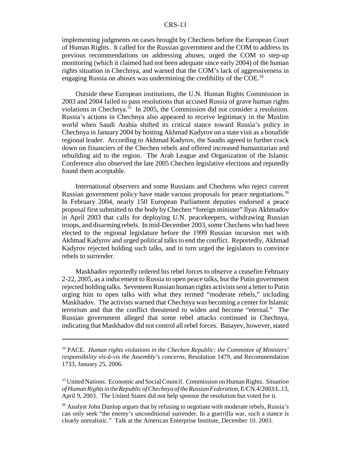implementing judgments on cases brought by Chechens before the European Court of Human Rights. It called for the Russian government and the COM to address its previous recommendations on addressing abuses, urged the COM to step-up monitoring (which it claimed had not been adequate since early 2004) of the human rights situation in Chechnya, and warned that the COM's lack of aggressiveness in engaging Russia on abuses was undermining the credibility of the COE.<sup>34</sup>

Outside these European institutions, the U.N. Human Rights Commission in 2003 and 2004 failed to pass resolutions that accused Russia of grave human rights violations in Chechnya.<sup>35</sup> In 2005, the Commission did not consider a resolution. Russia's actions in Chechnya also appeared to receive legitimacy in the Muslim world when Saudi Arabia shifted its critical stance toward Russia's policy in Chechnya in January 2004 by hosting Akhmad Kadyrov on a state visit as a bonafide regional leader. According to Akhmad Kadyrov, the Saudis agreed to further crack down on financiers of the Chechen rebels and offered increased humanitarian and rebuilding aid to the region. The Arab League and Organization of the Islamic Conference also observed the late 2005 Chechen legislative elections and reputedly found them acceptable.

International observers and some Russians and Chechens who reject current Russian government policy have made various proposals for peace negotiations.<sup>36</sup> In February 2004, nearly 150 European Parliament deputies endorsed a peace proposal first submitted to the body by Chechen "foreign minister" Ilyas Akhmadov in April 2003 that calls for deploying U.N. peacekeepers, withdrawing Russian troops, and disarming rebels. In mid-December 2003, some Chechens who had been elected to the regional legislature before the 1999 Russian incursion met with Akhmad Kadyrov and urged political talks to end the conflict. Reportedly, Akhmad Kadyrov rejected holding such talks, and in turn urged the legislators to convince rebels to surrender.

Maskhadov reportedly ordered his rebel forces to observe a ceasefire February 2-22, 2005, as a inducement to Russia to open peace talks, but the Putin government rejected holding talks. Seventeen Russian human rights activists sent a letter to Putin urging him to open talks with what they termed "moderate rebels," including Maskhadov. The activists warned that Chechnya was becoming a center for Islamic terrorism and that the conflict threatened to widen and become "eternal." The Russian government alleged that some rebel attacks continued in Chechnya, indicating that Maskhadov did not control all rebel forces. Basayev, however, stated

<sup>34</sup> PACE. *Human rights violations in the Chechen Republic: the Committee of Ministers' responsibility vis-à-vis the Assembly's concerns*, Resolution 1479, and Recommendation 1733, January 25, 2006.

<sup>35</sup> United Nations. Economic and Social Council. Commission on Human Rights. *Situation of Human Rights in the Republic of Chechnya of the Russian Federation*, E/CN.4/2003/L.13, April 9, 2003. The United States did not help sponsor the resolution but voted for it.

<sup>&</sup>lt;sup>36</sup> Analyst John Dunlop argues that by refusing to negotiate with moderate rebels, Russia's can only seek "the enemy's unconditional surrender. In a guerrilla war, such a stance is clearly unrealistic." Talk at the American Enterprise Institute, December 10. 2003.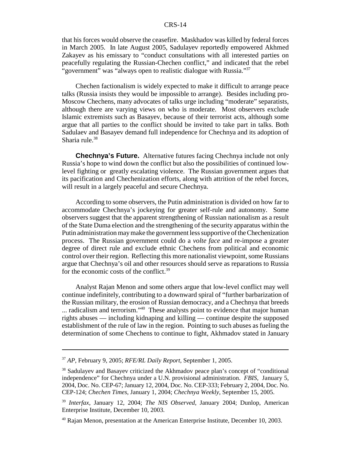that his forces would observe the ceasefire. Maskhadov was killed by federal forces in March 2005. In late August 2005, Sadulayev reportedly empowered Akhmed Zakayev as his emissary to "conduct consultations with all interested parties on peacefully regulating the Russian-Chechen conflict," and indicated that the rebel "government" was "always open to realistic dialogue with Russia."<sup>37</sup>

Chechen factionalism is widely expected to make it difficult to arrange peace talks (Russia insists they would be impossible to arrange). Besides including pro-Moscow Chechens, many advocates of talks urge including "moderate" separatists, although there are varying views on who is moderate. Most observers exclude Islamic extremists such as Basayev, because of their terrorist acts, although some argue that all parties to the conflict should be invited to take part in talks. Both Sadulaev and Basayev demand full independence for Chechnya and its adoption of Sharia rule. $38$ 

**Chechnya's Future.** Alternative futures facing Chechnya include not only Russia's hope to wind down the conflict but also the possibilities of continued lowlevel fighting or greatly escalating violence. The Russian government argues that its pacification and Chechenization efforts, along with attrition of the rebel forces, will result in a largely peaceful and secure Chechnya.

According to some observers, the Putin administration is divided on how far to accommodate Chechnya's jockeying for greater self-rule and autonomy. Some observers suggest that the apparent strengthening of Russian nationalism as a result of the State Duma election and the strengthening of the security apparatus within the Putin administration may make the government less supportive of the Chechenization process. The Russian government could do a *volte face* and re-impose a greater degree of direct rule and exclude ethnic Chechens from political and economic control over their region. Reflecting this more nationalist viewpoint, some Russians argue that Chechnya's oil and other resources should serve as reparations to Russia for the economic costs of the conflict.39

Analyst Rajan Menon and some others argue that low-level conflict may well continue indefinitely, contributing to a downward spiral of "further barbarization of the Russian military, the erosion of Russian democracy, and a Chechnya that breeds ... radicalism and terrorism."<sup>40</sup> These analysts point to evidence that major human rights abuses — including kidnaping and killing — continue despite the supposed establishment of the rule of law in the region. Pointing to such abuses as fueling the determination of some Chechens to continue to fight, Akhmadov stated in January

<sup>37</sup> *AP*, February 9, 2005; *RFE/RL Daily Report*, September 1, 2005.

<sup>38</sup> Sadulayev and Basayev criticized the Akhmadov peace plan's concept of "conditional independence" for Chechnya under a U.N. provisional administration. *FBIS*, January 5, 2004, Doc. No. CEP-67; January 12, 2004, Doc. No. CEP-333; February 2, 2004, Doc. No. CEP-124; *Chechen Times*, January 1, 2004; *Chechnya Weekly*, September 15, 2005.

<sup>39</sup> *Interfax*, January 12, 2004; *The NIS Observed*, January 2004; Dunlop, American Enterprise Institute, December 10, 2003.

<sup>40</sup> Rajan Menon, presentation at the American Enterprise Institute, December 10, 2003.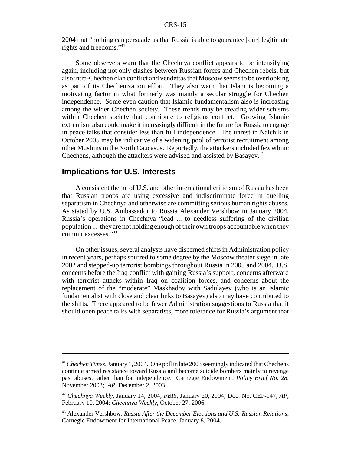2004 that "nothing can persuade us that Russia is able to guarantee [our] legitimate rights and freedoms."41

Some observers warn that the Chechnya conflict appears to be intensifying again, including not only clashes between Russian forces and Chechen rebels, but also intra-Chechen clan conflict and vendettas that Moscow seems to be overlooking as part of its Chechenization effort. They also warn that Islam is becoming a motivating factor in what formerly was mainly a secular struggle for Chechen independence. Some even caution that Islamic fundamentalism also is increasing among the wider Chechen society. These trends may be creating wider schisms within Chechen society that contribute to religious conflict. Growing Islamic extremism also could make it increasingly difficult in the future for Russia to engage in peace talks that consider less than full independence. The unrest in Nalchik in October 2005 may be indicative of a widening pool of terrorist recruitment among other Muslims in the North Caucasus. Reportedly, the attackers included few ethnic Chechens, although the attackers were advised and assisted by Basayev.<sup>42</sup>

#### **Implications for U.S. Interests**

A consistent theme of U.S. and other international criticism of Russia has been that Russian troops are using excessive and indiscriminate force in quelling separatism in Chechnya and otherwise are committing serious human rights abuses. As stated by U.S. Ambassador to Russia Alexander Vershbow in January 2004, Russia's operations in Chechnya "lead ... to needless suffering of the civilian population ... they are not holding enough of their own troops accountable when they commit excesses."43

On other issues, several analysts have discerned shifts in Administration policy in recent years, perhaps spurred to some degree by the Moscow theater siege in late 2002 and stepped-up terrorist bombings throughout Russia in 2003 and 2004. U.S. concerns before the Iraq conflict with gaining Russia's support, concerns afterward with terrorist attacks within Iraq on coalition forces, and concerns about the replacement of the "moderate" Maskhadov with Sadulayev (who is an Islamic fundamentalist with close and clear links to Basayev) also may have contributed to the shifts. There appeared to be fewer Administration suggestions to Russia that it should open peace talks with separatists, more tolerance for Russia's argument that

<sup>41</sup>*Chechen Times*, January 1, 2004. One poll in late 2003 seemingly indicated that Chechens continue armed resistance toward Russia and become suicide bombers mainly to revenge past abuses, rather than for independence. Carnegie Endowment, *Policy Brief No. 28*, November 2003; *AP*, December 2, 2003.

<sup>42</sup> *Chechnya Weekly*, January 14, 2004; *FBIS*, January 20, 2004, Doc. No. CEP-147; *AP*, February 10, 2004; *Chechnya Weekly*, October 27, 2006.

<sup>43</sup> Alexander Vershbow, *Russia After the December Elections and U.S.-Russian Relations*, Carnegie Endowment for International Peace, January 8, 2004.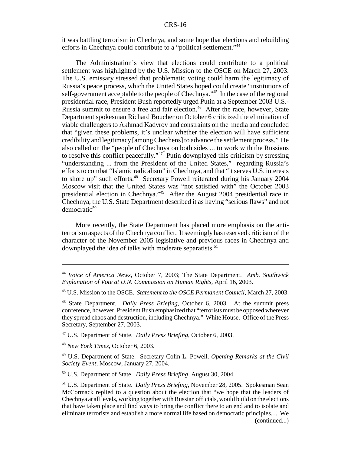it was battling terrorism in Chechnya, and some hope that elections and rebuilding efforts in Chechnya could contribute to a "political settlement."44

The Administration's view that elections could contribute to a political settlement was highlighted by the U.S. Mission to the OSCE on March 27, 2003. The U.S. emissary stressed that problematic voting could harm the legitimacy of Russia's peace process, which the United States hoped could create "institutions of self-government acceptable to the people of Chechnya."<sup>45</sup> In the case of the regional presidential race, President Bush reportedly urged Putin at a September 2003 U.S.- Russia summit to ensure a free and fair election.<sup>46</sup> After the race, however, State Department spokesman Richard Boucher on October 6 criticized the elimination of viable challengers to Akhmad Kadyrov and constraints on the media and concluded that "given these problems, it's unclear whether the election will have sufficient credibility and legitimacy [among Chechens] to advance the settlement process." He also called on the "people of Chechnya on both sides ... to work with the Russians to resolve this conflict peacefully."<sup>47</sup> Putin downplayed this criticism by stressing "understanding ... from the President of the United States," regarding Russia's efforts to combat "Islamic radicalism" in Chechnya, and that "it serves U.S. interests to shore up" such efforts.<sup>48</sup> Secretary Powell reiterated during his January 2004 Moscow visit that the United States was "not satisfied with" the October 2003 presidential election in Chechnya."49 After the August 2004 presidential race in Chechnya, the U.S. State Department described it as having "serious flaws" and not  $d$ emocratic<sup>50</sup>

More recently, the State Department has placed more emphasis on the antiterrorism aspects of the Chechnya conflict. It seemingly has reserved criticism of the character of the November 2005 legislative and previous races in Chechnya and downplayed the idea of talks with moderate separatists.<sup>51</sup>

45 U.S. Mission to the OSCE. *Statement to the OSCE Permanent Council*, March 27, 2003.

47 U.S. Department of State. *Daily Press Briefing*, October 6, 2003.

<sup>48</sup> *New York Times*, October 6, 2003.

49 U.S. Department of State. Secretary Colin L. Powell. *Opening Remarks at the Civil Society Event*, Moscow, January 27, 2004.

50 U.S. Department of State. *Daily Press Briefing*, August 30, 2004.

<sup>44</sup> *Voice of America News*, October 7, 2003; The State Department. *Amb. Southwick Explanation of Vote at U.N. Commission on Human Rights,* April 16, 2003.

<sup>46</sup> State Department. *Daily Press Briefing*, October 6, 2003. At the summit press conference, however, President Bush emphasized that "terrorists must be opposed wherever they spread chaos and destruction, including Chechnya." White House. Office of the Press Secretary, September 27, 2003.

<sup>51</sup> U.S. Department of State. *Daily Press Briefing*, November 28, 2005. Spokesman Sean McCormack replied to a question about the election that "we hope that the leaders of Chechnya at all levels, working together with Russian officials, would build on the elections that have taken place and find ways to bring the conflict there to an end and to isolate and eliminate terrorists and establish a more normal life based on democratic principles.... We (continued...)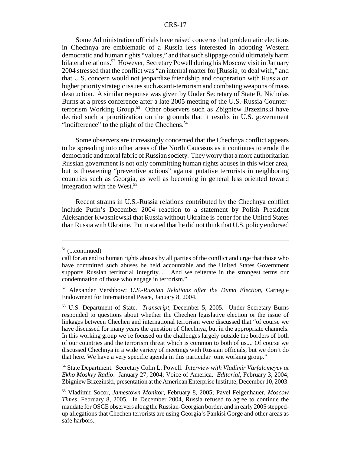Some Administration officials have raised concerns that problematic elections in Chechnya are emblematic of a Russia less interested in adopting Western democratic and human rights "values," and that such slippage could ultimately harm bilateral relations.52 However, Secretary Powell during his Moscow visit in January 2004 stressed that the conflict was "an internal matter for [Russia] to deal with," and that U.S. concern would not jeopardize friendship and cooperation with Russia on higher priority strategic issues such as anti-terrorism and combating weapons of mass destruction. A similar response was given by Under Secretary of State R. Nicholas Burns at a press conference after a late 2005 meeting of the U.S.-Russia Counterterrorism Working Group.<sup>53</sup> Other observers such as Zbigniew Brzezinski have decried such a prioritization on the grounds that it results in U.S. government "indifference" to the plight of the Chechens. $54$ 

Some observers are increasingly concerned that the Chechnya conflict appears to be spreading into other areas of the North Caucasus as it continues to erode the democratic and moral fabric of Russian society. They worry that a more authoritarian Russian government is not only committing human rights abuses in this wider area, but is threatening "preventive actions" against putative terrorists in neighboring countries such as Georgia, as well as becoming in general less oriented toward integration with the West.<sup>55</sup>

Recent strains in U.S.-Russia relations contributed by the Chechnya conflict include Putin's December 2004 reaction to a statement by Polish President Aleksander Kwasniewski that Russia without Ukraine is better for the United States than Russia with Ukraine. Putin stated that he did not think that U.S. policy endorsed

 $51$  (...continued)

call for an end to human rights abuses by all parties of the conflict and urge that those who have committed such abuses be held accountable and the United States Government supports Russian territorial integrity.... And we reiterate in the strongest terms our condemnation of those who engage in terrorism."

<sup>52</sup> Alexander Vershbow; *U.S.-Russian Relations after the Duma Election*, Carnegie Endowment for International Peace, January 8, 2004.

<sup>53</sup> U.S. Department of State. *Transcript*, December 5, 2005. Under Secretary Burns responded to questions about whether the Chechen legislative election or the issue of linkages between Chechen and international terrorism were discussed that "of course we have discussed for many years the question of Chechnya, but in the appropriate channels. In this working group we're focused on the challenges largely outside the borders of both of our countries and the terrorism threat which is common to both of us.... Of course we discussed Chechnya in a wide variety of meetings with Russian officials, but we don't do that here. We have a very specific agenda in this particular joint working group."

<sup>54</sup> State Department. Secretary Colin L. Powell. *Interview with Vladimir Varfalomeyev at Ekho Moskvy Radio*. January 27, 2004; Voice of America. *Editorial*, February 3, 2004; Zbigniew Brzezinski, presentation at the American Enterprise Institute, December 10, 2003.

<sup>55</sup> Vladimir Socor, *Jamestown Monitor*, February 8, 2005; Pavel Felgenhauer, *Moscow Times,* February 8, 2005. In December 2004, Russia refused to agree to continue the mandate for OSCE observers along the Russian-Georgian border, and in early 2005 steppedup allegations that Chechen terrorists are using Georgia's Pankisi Gorge and other areas as safe harbors.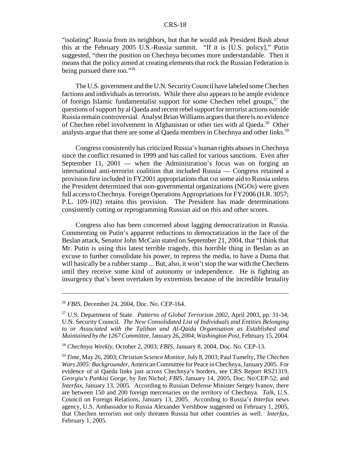"isolating" Russia from its neighbors, but that he would ask President Bush about this at the February 2005 U.S.-Russia summit. "If it is [U.S. policy]," Putin suggested, "then the position on Chechnya becomes more understandable. Then it means that the policy aimed at creating elements that rock the Russian Federation is being pursued there too."56

The U.S. government and the U.N. Security Council have labeled some Chechen factions and individuals as terrorists. While there also appears to be ample evidence of foreign Islamic fundamentalist support for some Chechen rebel groups,  $57$  the questions of support by al Qaeda and recent rebel support for terrorist actions outside Russia remain controversial. Analyst Brian Williams argues that there is no evidence of Chechen rebel involvement in Afghanistan or other ties with al Qaeda.<sup>58</sup> Other analysts argue that there are some al Qaeda members in Chechnya and other links.<sup>59</sup>

Congress consistently has criticized Russia's human rights abuses in Chechnya since the conflict resumed in 1999 and has called for various sanctions. Even after September 11, 2001 — when the Administration's focus was on forging an international anti-terrorist coalition that included Russia — Congress retained a provision first included in FY2001 appropriations that cut some aid to Russia unless the President determined that non-governmental organizations (NGOs) were given full access to Chechnya. Foreign Operations Appropriations for FY2006 (H.R. 3057; P.L. 109-102) retains this provision. The President has made determinations consistently cutting or reprogramming Russian aid on this and other scores.

Congress also has been concerned about lagging democratization in Russia. Commenting on Putin's apparent reductions to democratization in the face of the Beslan attack, Senator John McCain stated on September 21, 2004, that "I think that Mr. Putin is using this latest terrible tragedy, this horrible thing in Beslan as an excuse to further consolidate his power, to repress the media, to have a Duma that will basically be a rubber stamp ... But, also, it won't stop the war with the Chechens until they receive some kind of autonomy or independence. He is fighting an insurgency that's been overtaken by extremists because of the incredible brutality

<sup>56</sup> *FBIS*, December 24, 2004, Doc. No. CEP-164.

<sup>57</sup> U.S. Department of State. *Patterns of Global Terrorism 2002*, April 2003, pp. 31-34; U.N. Security Council. *The New Consolidated List of Individuals and Entities Belonging to or Associated with the Taliban and Al-Qaida Organisation as Established and Maintained by the 1267 Committee*, January 26, 2004; *Washington Post*, February 15, 2004.

<sup>58</sup> *Chechnya Weekly*, October 2, 2003; *FBIS*, January 8, 2004, Doc. No. CEP-13.

<sup>59</sup> *Time*, May 26, 2003; *Christian Science Monitor*, July 8, 2003; Paul Tumelty, *The Chechen Wars 2005: Backgrounder*, American Committee for Peace in Chechnya, January 2005. For evidence of al Qaeda links just across Chechnya's borders, see CRS Report RS21319, *Georgia's Pankisi Gorge*, by Jim Nichol; *FBIS*, January 14, 2005, Doc. No.CEP-52; and *Interfax*, January 13, 2005. According to Russian Defense Minister Sergey Ivanov, there are between 150 and 200 foreign mercenaries on the territory of Chechnya. *Talk*, U.S. Council on Foreign Relations, January 13, 2005. According to Russia's *Interfax* news agency, U.S. Ambassador to Russia Alexander Vershbow suggested on February 1, 2005, that Chechen terrorists not only threaten Russia but other countries as well. *Interfax*, February 1, 2005.